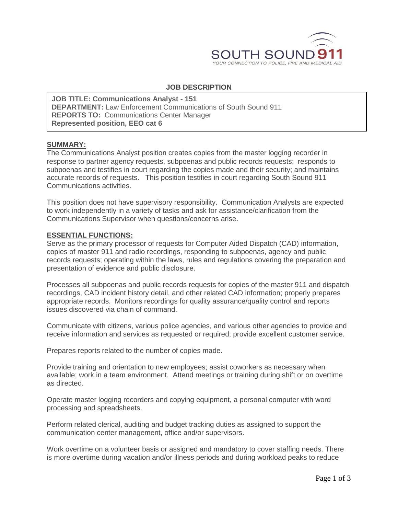

### **JOB DESCRIPTION**

**JOB TITLE: Communications Analyst - 151 DEPARTMENT:** Law Enforcement Communications of South Sound 911 **REPORTS TO:** Communications Center Manager **Represented position, EEO cat 6**

#### **SUMMARY:**

The Communications Analyst position creates copies from the master logging recorder in response to partner agency requests, subpoenas and public records requests; responds to subpoenas and testifies in court regarding the copies made and their security; and maintains accurate records of requests. This position testifies in court regarding South Sound 911 Communications activities.

This position does not have supervisory responsibility. Communication Analysts are expected to work independently in a variety of tasks and ask for assistance/clarification from the Communications Supervisor when questions/concerns arise.

#### **ESSENTIAL FUNCTIONS:**

Serve as the primary processor of requests for Computer Aided Dispatch (CAD) information, copies of master 911 and radio recordings, responding to subpoenas, agency and public records requests; operating within the laws, rules and regulations covering the preparation and presentation of evidence and public disclosure.

Processes all subpoenas and public records requests for copies of the master 911 and dispatch recordings, CAD incident history detail, and other related CAD information; properly prepares appropriate records. Monitors recordings for quality assurance/quality control and reports issues discovered via chain of command.

Communicate with citizens, various police agencies, and various other agencies to provide and receive information and services as requested or required; provide excellent customer service.

Prepares reports related to the number of copies made.

Provide training and orientation to new employees; assist coworkers as necessary when available; work in a team environment. Attend meetings or training during shift or on overtime as directed.

Operate master logging recorders and copying equipment, a personal computer with word processing and spreadsheets.

Perform related clerical, auditing and budget tracking duties as assigned to support the communication center management, office and/or supervisors.

Work overtime on a volunteer basis or assigned and mandatory to cover staffing needs. There is more overtime during vacation and/or illness periods and during workload peaks to reduce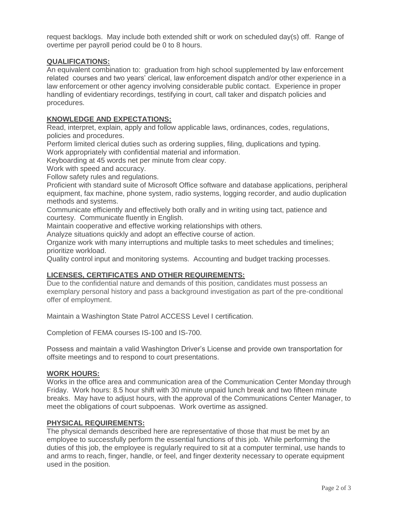request backlogs. May include both extended shift or work on scheduled day(s) off. Range of overtime per payroll period could be 0 to 8 hours.

## **QUALIFICATIONS:**

An equivalent combination to: graduation from high school supplemented by law enforcement related courses and two years' clerical, law enforcement dispatch and/or other experience in a law enforcement or other agency involving considerable public contact. Experience in proper handling of evidentiary recordings, testifying in court, call taker and dispatch policies and procedures.

## **KNOWLEDGE AND EXPECTATIONS:**

Read, interpret, explain, apply and follow applicable laws, ordinances, codes, regulations, policies and procedures.

Perform limited clerical duties such as ordering supplies, filing, duplications and typing. Work appropriately with confidential material and information.

Keyboarding at 45 words net per minute from clear copy.

Work with speed and accuracy.

Follow safety rules and regulations.

Proficient with standard suite of Microsoft Office software and database applications, peripheral equipment, fax machine, phone system, radio systems, logging recorder, and audio duplication methods and systems.

Communicate efficiently and effectively both orally and in writing using tact, patience and courtesy. Communicate fluently in English.

Maintain cooperative and effective working relationships with others.

Analyze situations quickly and adopt an effective course of action.

Organize work with many interruptions and multiple tasks to meet schedules and timelines; prioritize workload.

Quality control input and monitoring systems. Accounting and budget tracking processes.

# **LICENSES, CERTIFICATES AND OTHER REQUIREMENTS:**

Due to the confidential nature and demands of this position, candidates must possess an exemplary personal history and pass a background investigation as part of the pre-conditional offer of employment.

Maintain a Washington State Patrol ACCESS Level I certification.

Completion of FEMA courses IS-100 and IS-700.

Possess and maintain a valid Washington Driver's License and provide own transportation for offsite meetings and to respond to court presentations.

#### **WORK HOURS:**

Works in the office area and communication area of the Communication Center Monday through Friday. Work hours: 8.5 hour shift with 30 minute unpaid lunch break and two fifteen minute breaks. May have to adjust hours, with the approval of the Communications Center Manager, to meet the obligations of court subpoenas. Work overtime as assigned.

#### **PHYSICAL REQUIREMENTS:**

The physical demands described here are representative of those that must be met by an employee to successfully perform the essential functions of this job. While performing the duties of this job, the employee is regularly required to sit at a computer terminal, use hands to and arms to reach, finger, handle, or feel, and finger dexterity necessary to operate equipment used in the position.